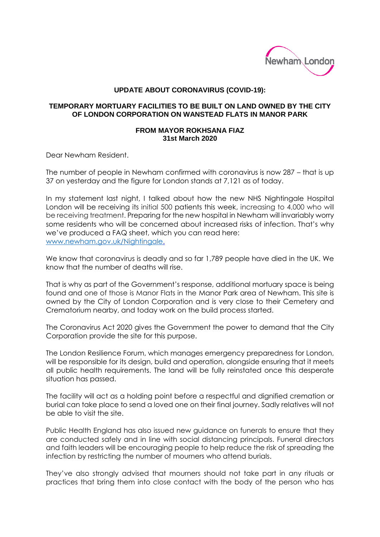

## **UPDATE ABOUT CORONAVIRUS (COVID-19):**

## **TEMPORARY MORTUARY FACILITIES TO BE BUILT ON LAND OWNED BY THE CITY OF LONDON CORPORATION ON WANSTEAD FLATS IN MANOR PARK**

## **FROM MAYOR ROKHSANA FIAZ 31st March 2020**

Dear Newham Resident.

The number of people in Newham confirmed with coronavirus is now 287 – that is up 37 on yesterday and the figure for London stands at 7,121 as of today.

In my statement last night, I talked about how the new NHS Nightingale Hospital London will be receiving its initial 500 patients this week, increasing to 4,000 who will be receiving treatment. Preparing for the new hospital in Newham will invariably worry some residents who will be concerned about increased risks of infection. That's why we've produced a FAQ sheet, which you can read here: [www.newham.gov.uk/Nightingale.](http://www.newham.gov.uk/Nightingale)

We know that coronavirus is deadly and so far 1,789 people have died in the UK. We know that the number of deaths will rise.

That is why as part of the Government's response, additional mortuary space is being found and one of those is Manor Flats in the Manor Park area of Newham. This site is owned by the City of London Corporation and is very close to their Cemetery and Crematorium nearby, and today work on the build process started.

The Coronavirus Act 2020 gives the Government the power to demand that the City Corporation provide the site for this purpose.

The London Resilience Forum, which manages emergency preparedness for London, will be responsible for its design, build and operation, alongside ensuring that it meets all public health requirements. The land will be fully reinstated once this desperate situation has passed.

The facility will act as a holding point before a respectful and dignified cremation or burial can take place to send a loved one on their final journey. Sadly relatives will not be able to visit the site.

Public Health England has also issued new guidance on funerals to ensure that they are conducted safely and in line with social distancing principals. Funeral directors and faith leaders will be encouraging people to help reduce the risk of spreading the infection by restricting the number of mourners who attend burials.

They've also strongly advised that mourners should not take part in any rituals or practices that bring them into close contact with the body of the person who has